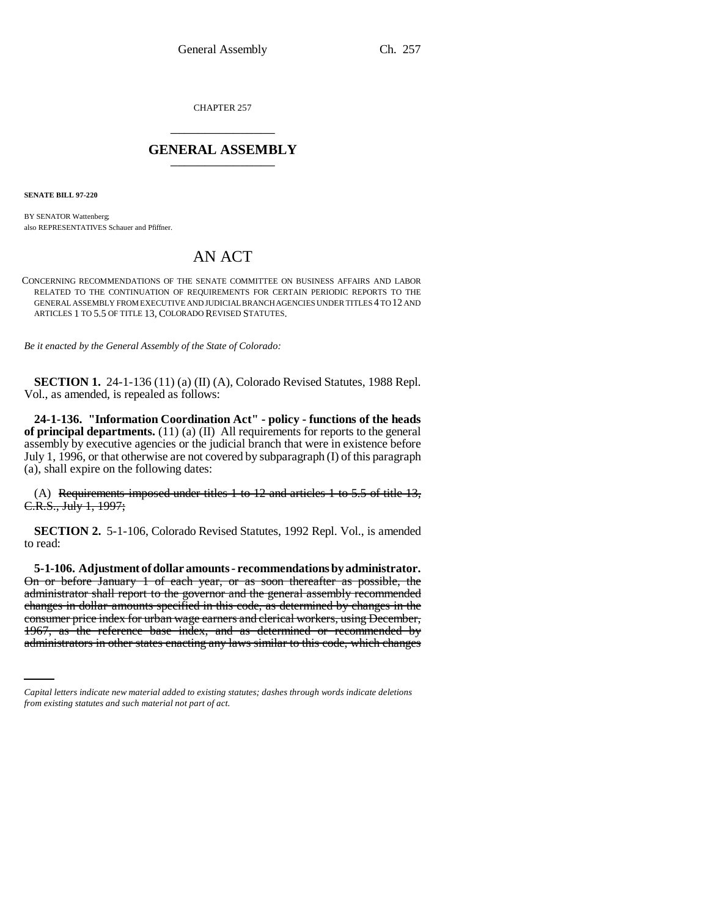CHAPTER 257 \_\_\_\_\_\_\_\_\_\_\_\_\_\_\_

## **GENERAL ASSEMBLY** \_\_\_\_\_\_\_\_\_\_\_\_\_\_\_

**SENATE BILL 97-220**

BY SENATOR Wattenberg; also REPRESENTATIVES Schauer and Pfiffner.

## AN ACT

CONCERNING RECOMMENDATIONS OF THE SENATE COMMITTEE ON BUSINESS AFFAIRS AND LABOR RELATED TO THE CONTINUATION OF REQUIREMENTS FOR CERTAIN PERIODIC REPORTS TO THE GENERAL ASSEMBLY FROM EXECUTIVE AND JUDICIAL BRANCH AGENCIES UNDER TITLES 4 TO 12 AND ARTICLES 1 TO 5.5 OF TITLE 13, COLORADO REVISED STATUTES.

*Be it enacted by the General Assembly of the State of Colorado:*

**SECTION 1.** 24-1-136 (11) (a) (II) (A), Colorado Revised Statutes, 1988 Repl. Vol., as amended, is repealed as follows:

**24-1-136. "Information Coordination Act" - policy - functions of the heads of principal departments.** (11) (a) (II) All requirements for reports to the general assembly by executive agencies or the judicial branch that were in existence before July 1, 1996, or that otherwise are not covered by subparagraph (I) of this paragraph (a), shall expire on the following dates:

(A) Requirements imposed under titles 1 to 12 and articles 1 to 5.5 of title 13, C.R.S., July 1, 1997;

**SECTION 2.** 5-1-106, Colorado Revised Statutes, 1992 Repl. Vol., is amended to read:

consumer price index for urban wage earners and clerical workers, using December, **5-1-106. Adjustment of dollar amounts - recommendations by administrator.** On or before January 1 of each year, or as soon thereafter as possible, the administrator shall report to the governor and the general assembly recommended changes in dollar amounts specified in this code, as determined by changes in the 1967, as the reference base index, and as determined or recommended by administrators in other states enacting any laws similar to this code, which changes

*Capital letters indicate new material added to existing statutes; dashes through words indicate deletions from existing statutes and such material not part of act.*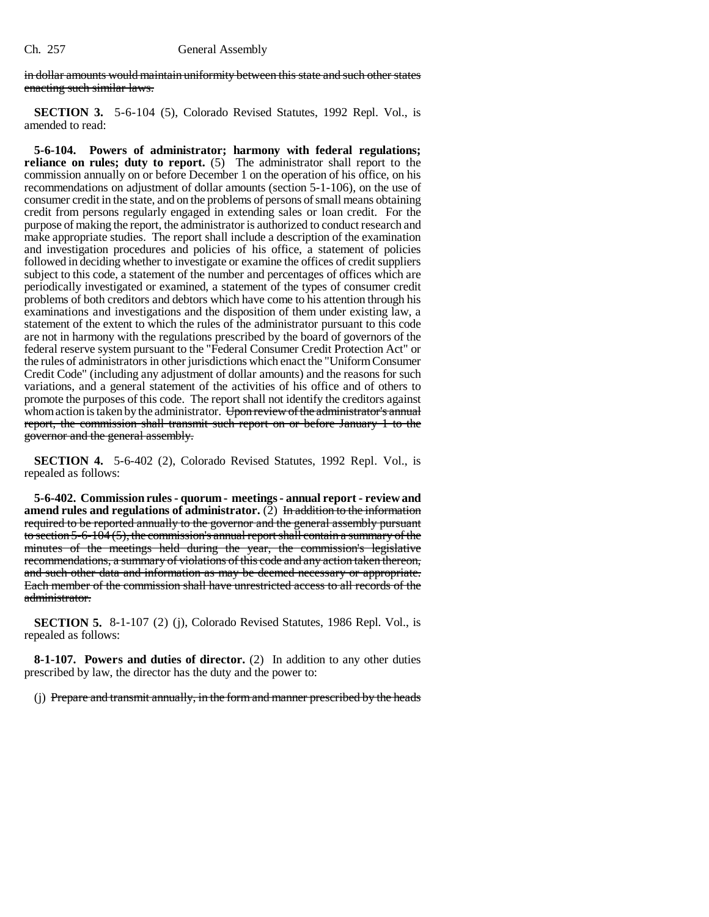in dollar amounts would maintain uniformity between this state and such other states enacting such similar laws.

**SECTION 3.** 5-6-104 (5), Colorado Revised Statutes, 1992 Repl. Vol., is amended to read:

**5-6-104. Powers of administrator; harmony with federal regulations; reliance on rules; duty to report.** (5) The administrator shall report to the commission annually on or before December 1 on the operation of his office, on his recommendations on adjustment of dollar amounts (section 5-1-106), on the use of consumer credit in the state, and on the problems of persons of small means obtaining credit from persons regularly engaged in extending sales or loan credit. For the purpose of making the report, the administrator is authorized to conduct research and make appropriate studies. The report shall include a description of the examination and investigation procedures and policies of his office, a statement of policies followed in deciding whether to investigate or examine the offices of credit suppliers subject to this code, a statement of the number and percentages of offices which are periodically investigated or examined, a statement of the types of consumer credit problems of both creditors and debtors which have come to his attention through his examinations and investigations and the disposition of them under existing law, a statement of the extent to which the rules of the administrator pursuant to this code are not in harmony with the regulations prescribed by the board of governors of the federal reserve system pursuant to the "Federal Consumer Credit Protection Act" or the rules of administrators in other jurisdictions which enact the "Uniform Consumer Credit Code" (including any adjustment of dollar amounts) and the reasons for such variations, and a general statement of the activities of his office and of others to promote the purposes of this code. The report shall not identify the creditors against whom action is taken by the administrator. Upon review of the administrator's annual report, the commission shall transmit such report on or before January 1 to the governor and the general assembly.

**SECTION 4.** 5-6-402 (2), Colorado Revised Statutes, 1992 Repl. Vol., is repealed as follows:

**5-6-402. Commission rules - quorum - meetings - annual report - review and** amend rules and regulations of administrator. (2) In addition to the information required to be reported annually to the governor and the general assembly pursuant to section 5-6-104 (5), the commission's annual report shall contain a summary of the minutes of the meetings held during the year, the commission's legislative recommendations, a summary of violations of this code and any action taken thereon, and such other data and information as may be deemed necessary or appropriate. Each member of the commission shall have unrestricted access to all records of the administrator.

**SECTION 5.** 8-1-107 (2) (j), Colorado Revised Statutes, 1986 Repl. Vol., is repealed as follows:

**8-1-107. Powers and duties of director.** (2) In addition to any other duties prescribed by law, the director has the duty and the power to:

(j) Prepare and transmit annually, in the form and manner prescribed by the heads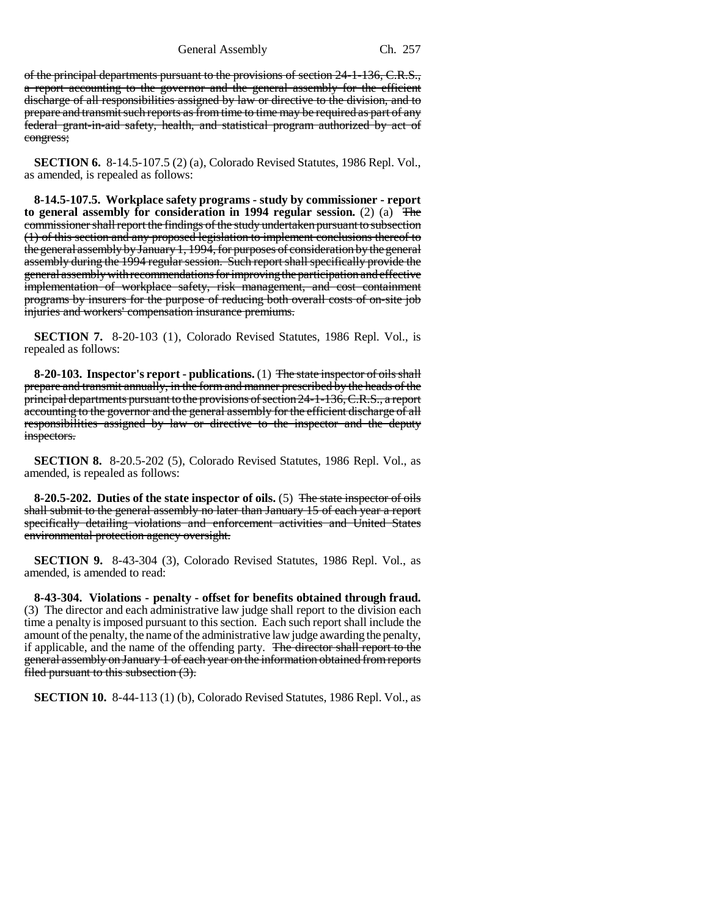General Assembly Ch. 257

of the principal departments pursuant to the provisions of section 24-1-136, C.R.S., a report accounting to the governor and the general assembly for the efficient discharge of all responsibilities assigned by law or directive to the division, and to prepare and transmit such reports as from time to time may be required as part of any federal grant-in-aid safety, health, and statistical program authorized by act of congress;

**SECTION 6.** 8-14.5-107.5 (2) (a), Colorado Revised Statutes, 1986 Repl. Vol., as amended, is repealed as follows:

**8-14.5-107.5. Workplace safety programs - study by commissioner - report to general assembly for consideration in 1994 regular session.** (2) (a) The commissioner shall report the findings of the study undertaken pursuant to subsection (1) of this section and any proposed legislation to implement conclusions thereof to the general assembly by January 1, 1994, for purposes of consideration by the general assembly during the 1994 regular session. Such report shall specifically provide the general assembly with recommendations for improving the participation and effective implementation of workplace safety, risk management, and cost containment programs by insurers for the purpose of reducing both overall costs of on-site job injuries and workers' compensation insurance premiums.

**SECTION 7.** 8-20-103 (1), Colorado Revised Statutes, 1986 Repl. Vol., is repealed as follows:

**8-20-103. Inspector's report - publications.** (1) The state inspector of oils shall prepare and transmit annually, in the form and manner prescribed by the heads of the principal departments pursuant to the provisions of section 24-1-136, C.R.S., a report accounting to the governor and the general assembly for the efficient discharge of all responsibilities assigned by law or directive to the inspector and the deputy inspectors.

**SECTION 8.** 8-20.5-202 (5), Colorado Revised Statutes, 1986 Repl. Vol., as amended, is repealed as follows:

**8-20.5-202. Duties of the state inspector of oils.** (5) The state inspector of oils shall submit to the general assembly no later than January 15 of each year a report specifically detailing violations and enforcement activities and United States environmental protection agency oversight.

**SECTION 9.** 8-43-304 (3), Colorado Revised Statutes, 1986 Repl. Vol., as amended, is amended to read:

**8-43-304. Violations - penalty - offset for benefits obtained through fraud.** (3) The director and each administrative law judge shall report to the division each time a penalty is imposed pursuant to this section. Each such report shall include the amount of the penalty, the name of the administrative law judge awarding the penalty, if applicable, and the name of the offending party. The director shall report to the general assembly on January 1 of each year on the information obtained from reports filed pursuant to this subsection (3).

**SECTION 10.** 8-44-113 (1) (b), Colorado Revised Statutes, 1986 Repl. Vol., as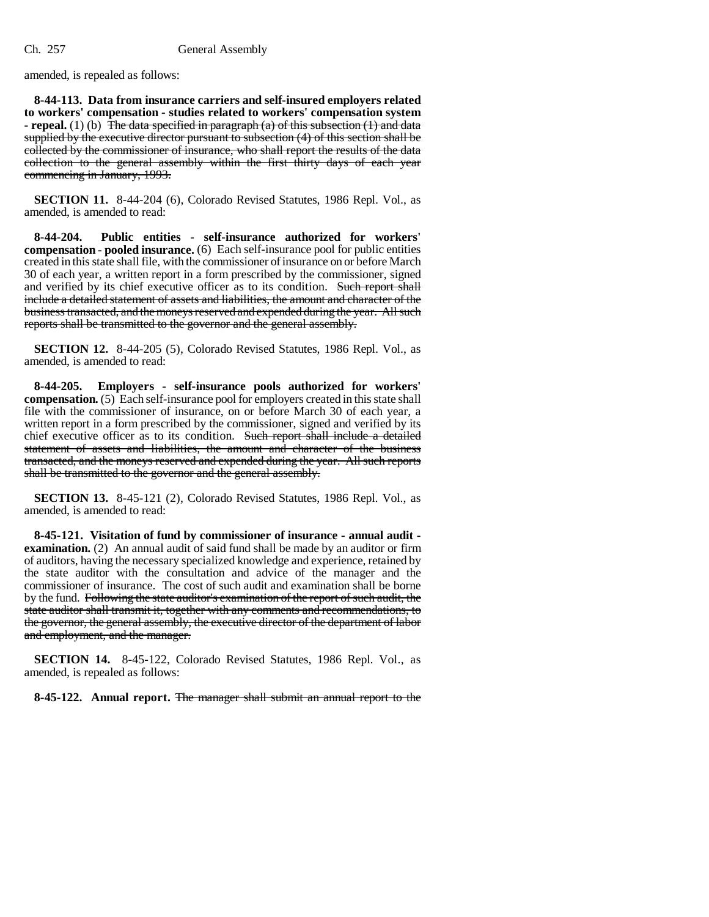amended, is repealed as follows:

**8-44-113. Data from insurance carriers and self-insured employers related to workers' compensation - studies related to workers' compensation system - repeal.** (1) (b) The data specified in paragraph (a) of this subsection (1) and data supplied by the executive director pursuant to subsection (4) of this section shall be collected by the commissioner of insurance, who shall report the results of the data collection to the general assembly within the first thirty days of each year commencing in January, 1993.

**SECTION 11.** 8-44-204 (6), Colorado Revised Statutes, 1986 Repl. Vol., as amended, is amended to read:

**8-44-204. Public entities - self-insurance authorized for workers' compensation - pooled insurance.** (6) Each self-insurance pool for public entities created in this state shall file, with the commissioner of insurance on or before March 30 of each year, a written report in a form prescribed by the commissioner, signed and verified by its chief executive officer as to its condition. Such report shall include a detailed statement of assets and liabilities, the amount and character of the business transacted, and the moneys reserved and expended during the year. All such reports shall be transmitted to the governor and the general assembly.

**SECTION 12.** 8-44-205 (5), Colorado Revised Statutes, 1986 Repl. Vol., as amended, is amended to read:

**8-44-205. Employers - self-insurance pools authorized for workers' compensation.** (5) Each self-insurance pool for employers created in this state shall file with the commissioner of insurance, on or before March 30 of each year, a written report in a form prescribed by the commissioner, signed and verified by its chief executive officer as to its condition. Such report shall include a detailed statement of assets and liabilities, the amount and character of the business transacted, and the moneys reserved and expended during the year. All such reports shall be transmitted to the governor and the general assembly.

**SECTION 13.** 8-45-121 (2), Colorado Revised Statutes, 1986 Repl. Vol., as amended, is amended to read:

**8-45-121. Visitation of fund by commissioner of insurance - annual audit examination.** (2) An annual audit of said fund shall be made by an auditor or firm of auditors, having the necessary specialized knowledge and experience, retained by the state auditor with the consultation and advice of the manager and the commissioner of insurance. The cost of such audit and examination shall be borne by the fund. Following the state auditor's examination of the report of such audit, the state auditor shall transmit it, together with any comments and recommendations, to the governor, the general assembly, the executive director of the department of labor and employment, and the manager.

**SECTION 14.** 8-45-122, Colorado Revised Statutes, 1986 Repl. Vol., as amended, is repealed as follows:

**8-45-122. Annual report.** The manager shall submit an annual report to the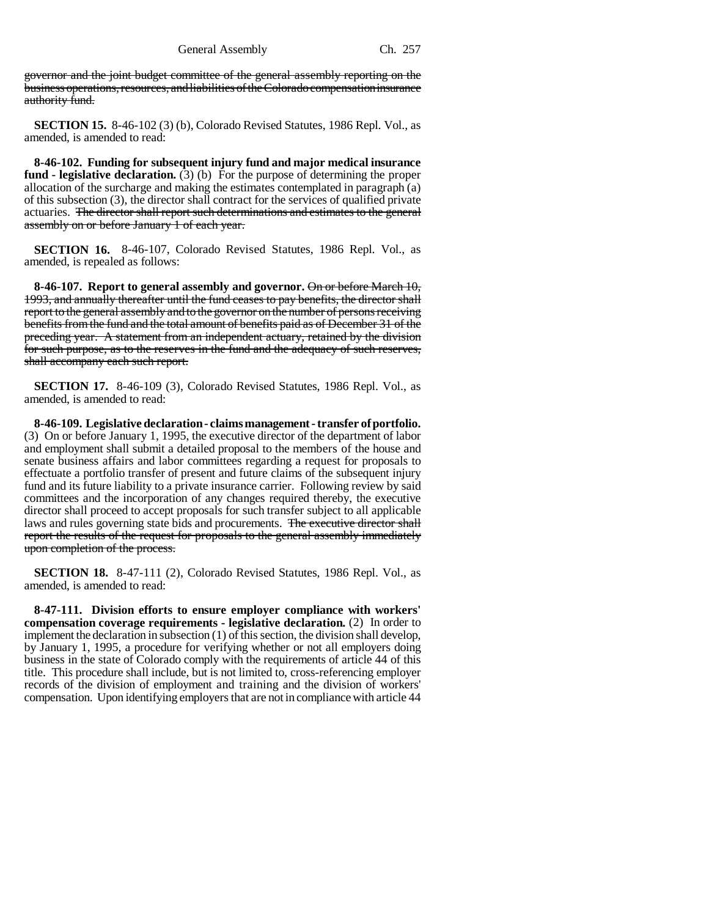governor and the joint budget committee of the general assembly reporting on the business operations, resources, and liabilities of the Colorado compensation insurance authority fund.

**SECTION 15.** 8-46-102 (3) (b), Colorado Revised Statutes, 1986 Repl. Vol., as amended, is amended to read:

**8-46-102. Funding for subsequent injury fund and major medical insurance fund - legislative declaration.** (3) (b) For the purpose of determining the proper allocation of the surcharge and making the estimates contemplated in paragraph (a) of this subsection (3), the director shall contract for the services of qualified private actuaries. The director shall report such determinations and estimates to the general assembly on or before January 1 of each year.

**SECTION 16.** 8-46-107, Colorado Revised Statutes, 1986 Repl. Vol., as amended, is repealed as follows:

**8-46-107. Report to general assembly and governor.** On or before March 10, 1993, and annually thereafter until the fund ceases to pay benefits, the director shall report to the general assembly and to the governor on the number of persons receiving benefits from the fund and the total amount of benefits paid as of December 31 of the preceding year. A statement from an independent actuary, retained by the division for such purpose, as to the reserves in the fund and the adequacy of such reserves, shall accompany each such report.

**SECTION 17.** 8-46-109 (3), Colorado Revised Statutes, 1986 Repl. Vol., as amended, is amended to read:

**8-46-109. Legislative declaration - claims management - transfer of portfolio.** (3) On or before January 1, 1995, the executive director of the department of labor and employment shall submit a detailed proposal to the members of the house and senate business affairs and labor committees regarding a request for proposals to effectuate a portfolio transfer of present and future claims of the subsequent injury fund and its future liability to a private insurance carrier. Following review by said committees and the incorporation of any changes required thereby, the executive director shall proceed to accept proposals for such transfer subject to all applicable laws and rules governing state bids and procurements. The executive director shall report the results of the request for proposals to the general assembly immediately upon completion of the process.

**SECTION 18.** 8-47-111 (2), Colorado Revised Statutes, 1986 Repl. Vol., as amended, is amended to read:

**8-47-111. Division efforts to ensure employer compliance with workers' compensation coverage requirements - legislative declaration.** (2) In order to implement the declaration in subsection (1) of this section, the division shall develop, by January 1, 1995, a procedure for verifying whether or not all employers doing business in the state of Colorado comply with the requirements of article 44 of this title. This procedure shall include, but is not limited to, cross-referencing employer records of the division of employment and training and the division of workers' compensation. Upon identifying employers that are not in compliance with article 44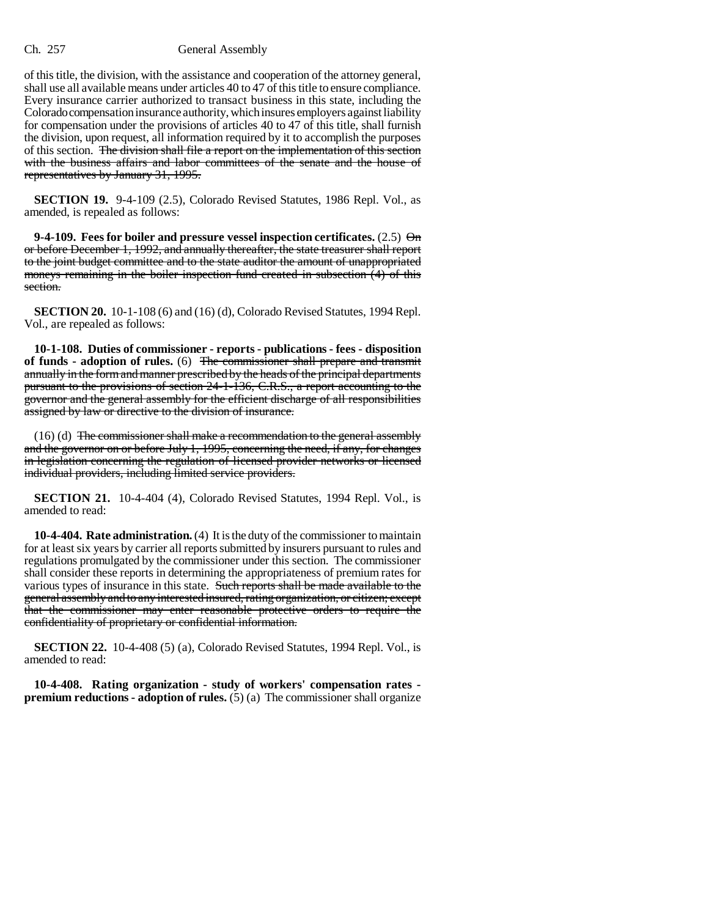## Ch. 257 General Assembly

of this title, the division, with the assistance and cooperation of the attorney general, shall use all available means under articles 40 to 47 of this title to ensure compliance. Every insurance carrier authorized to transact business in this state, including the Colorado compensation insurance authority, which insures employers against liability for compensation under the provisions of articles 40 to 47 of this title, shall furnish the division, upon request, all information required by it to accomplish the purposes of this section. The division shall file a report on the implementation of this section with the business affairs and labor committees of the senate and the house of representatives by January 31, 1995.

**SECTION 19.** 9-4-109 (2.5), Colorado Revised Statutes, 1986 Repl. Vol., as amended, is repealed as follows:

**9-4-109. Fees for boiler and pressure vessel inspection certificates.** (2.5) On or before December 1, 1992, and annually thereafter, the state treasurer shall report to the joint budget committee and to the state auditor the amount of unappropriated moneys remaining in the boiler inspection fund created in subsection (4) of this section.

**SECTION 20.** 10-1-108 (6) and (16) (d), Colorado Revised Statutes, 1994 Repl. Vol., are repealed as follows:

**10-1-108. Duties of commissioner - reports - publications - fees - disposition of funds - adoption of rules.** (6) The commissioner shall prepare and transmit annually in the form and manner prescribed by the heads of the principal departments pursuant to the provisions of section 24-1-136, C.R.S., a report accounting to the governor and the general assembly for the efficient discharge of all responsibilities assigned by law or directive to the division of insurance.

(16) (d) The commissioner shall make a recommendation to the general assembly and the governor on or before July 1, 1995, concerning the need, if any, for changes in legislation concerning the regulation of licensed provider networks or licensed individual providers, including limited service providers.

**SECTION 21.** 10-4-404 (4), Colorado Revised Statutes, 1994 Repl. Vol., is amended to read:

**10-4-404. Rate administration.** (4) It is the duty of the commissioner to maintain for at least six years by carrier all reports submitted by insurers pursuant to rules and regulations promulgated by the commissioner under this section. The commissioner shall consider these reports in determining the appropriateness of premium rates for various types of insurance in this state. Such reports shall be made available to the general assembly and to any interested insured, rating organization, or citizen; except that the commissioner may enter reasonable protective orders to require the confidentiality of proprietary or confidential information.

**SECTION 22.** 10-4-408 (5) (a), Colorado Revised Statutes, 1994 Repl. Vol., is amended to read:

**10-4-408. Rating organization - study of workers' compensation rates premium reductions - adoption of rules.** (5) (a) The commissioner shall organize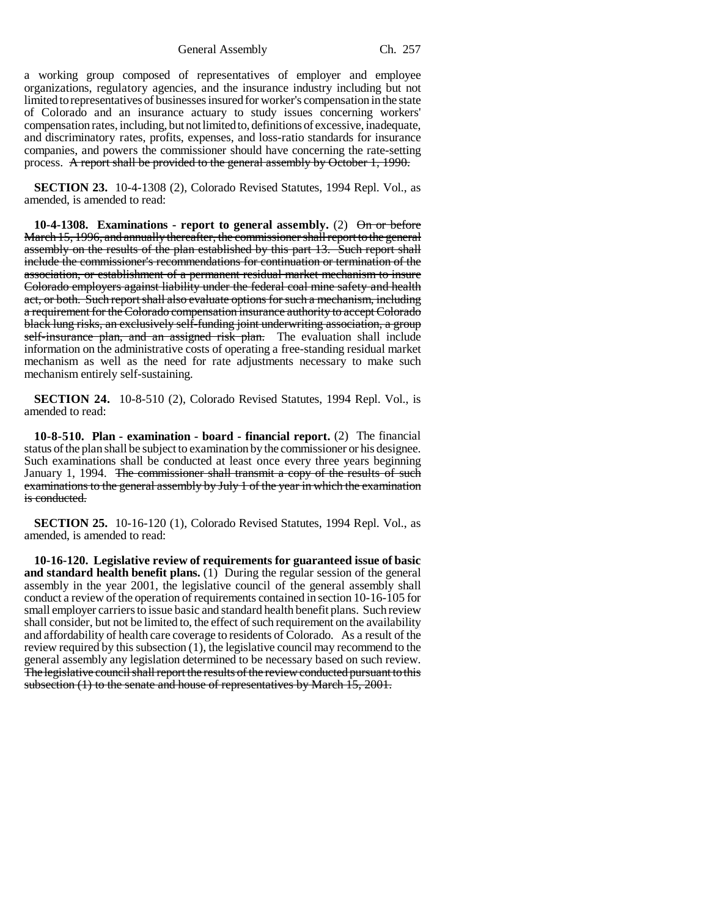General Assembly Ch. 257

a working group composed of representatives of employer and employee organizations, regulatory agencies, and the insurance industry including but not limited to representatives of businesses insured for worker's compensation in the state of Colorado and an insurance actuary to study issues concerning workers' compensation rates, including, but not limited to, definitions of excessive, inadequate, and discriminatory rates, profits, expenses, and loss-ratio standards for insurance companies, and powers the commissioner should have concerning the rate-setting process. A report shall be provided to the general assembly by October 1, 1990.

**SECTION 23.** 10-4-1308 (2), Colorado Revised Statutes, 1994 Repl. Vol., as amended, is amended to read:

**10-4-1308. Examinations - report to general assembly.** (2) On or before March 15, 1996, and annually thereafter, the commissioner shall report to the general assembly on the results of the plan established by this part 13. Such report shall include the commissioner's recommendations for continuation or termination of the association, or establishment of a permanent residual market mechanism to insure Colorado employers against liability under the federal coal mine safety and health act, or both. Such report shall also evaluate options for such a mechanism, including a requirement for the Colorado compensation insurance authority to accept Colorado black lung risks, an exclusively self-funding joint underwriting association, a group self-insurance plan, and an assigned risk plan. The evaluation shall include information on the administrative costs of operating a free-standing residual market mechanism as well as the need for rate adjustments necessary to make such mechanism entirely self-sustaining.

**SECTION 24.** 10-8-510 (2), Colorado Revised Statutes, 1994 Repl. Vol., is amended to read:

**10-8-510. Plan - examination - board - financial report.** (2) The financial status of the plan shall be subject to examination by the commissioner or his designee. Such examinations shall be conducted at least once every three years beginning January 1, 1994. The commissioner shall transmit a copy of the results of such examinations to the general assembly by July 1 of the year in which the examination is conducted.

**SECTION 25.** 10-16-120 (1), Colorado Revised Statutes, 1994 Repl. Vol., as amended, is amended to read:

**10-16-120. Legislative review of requirements for guaranteed issue of basic and standard health benefit plans.** (1) During the regular session of the general assembly in the year 2001, the legislative council of the general assembly shall conduct a review of the operation of requirements contained in section 10-16-105 for small employer carriers to issue basic and standard health benefit plans. Such review shall consider, but not be limited to, the effect of such requirement on the availability and affordability of health care coverage to residents of Colorado. As a result of the review required by this subsection (1), the legislative council may recommend to the general assembly any legislation determined to be necessary based on such review. The legislative council shall report the results of the review conducted pursuant to this subsection (1) to the senate and house of representatives by March 15, 2001.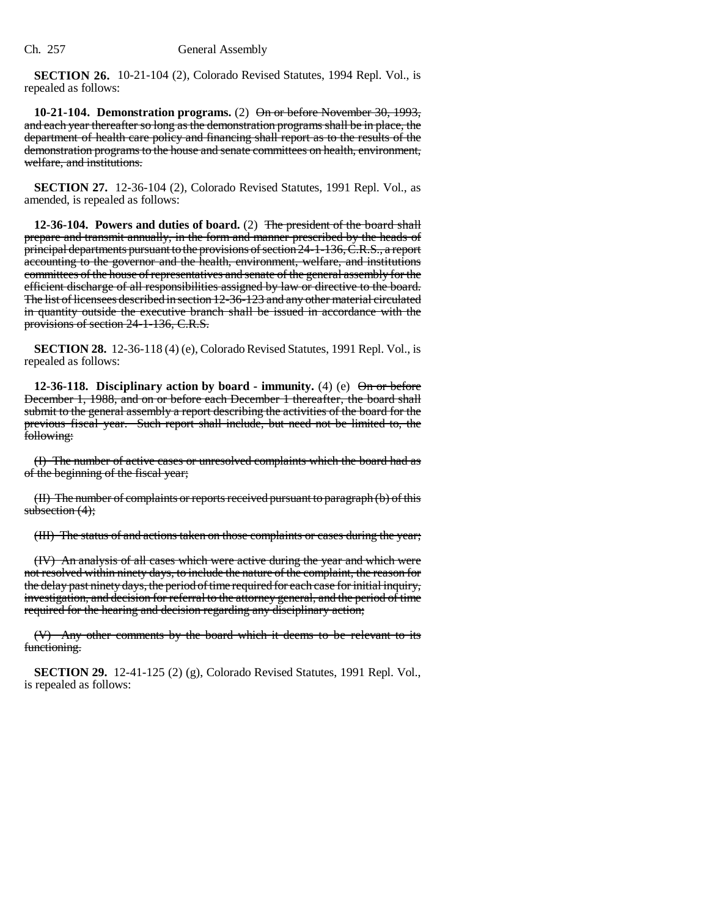**SECTION 26.** 10-21-104 (2), Colorado Revised Statutes, 1994 Repl. Vol., is repealed as follows:

**10-21-104. Demonstration programs.** (2) On or before November 30, 1993, and each year thereafter so long as the demonstration programs shall be in place, the department of health care policy and financing shall report as to the results of the demonstration programs to the house and senate committees on health, environment, welfare, and institutions.

**SECTION 27.** 12-36-104 (2), Colorado Revised Statutes, 1991 Repl. Vol., as amended, is repealed as follows:

**12-36-104. Powers and duties of board.** (2) The president of the board shall prepare and transmit annually, in the form and manner prescribed by the heads of principal departments pursuant to the provisions of section 24-1-136, C.R.S., a report accounting to the governor and the health, environment, welfare, and institutions committees of the house of representatives and senate of the general assembly for the efficient discharge of all responsibilities assigned by law or directive to the board. The list of licensees described in section 12-36-123 and any other material circulated in quantity outside the executive branch shall be issued in accordance with the provisions of section 24-1-136, C.R.S.

**SECTION 28.** 12-36-118 (4) (e), Colorado Revised Statutes, 1991 Repl. Vol., is repealed as follows:

**12-36-118.** Disciplinary action by board - immunity. (4) (e)  $\Theta$  or before December 1, 1988, and on or before each December 1 thereafter, the board shall submit to the general assembly a report describing the activities of the board for the previous fiscal year. Such report shall include, but need not be limited to, the following:

(I) The number of active cases or unresolved complaints which the board had as of the beginning of the fiscal year;

(II) The number of complaints or reports received pursuant to paragraph (b) of this subsection  $(4)$ ;

(III) The status of and actions taken on those complaints or cases during the year;

(IV) An analysis of all cases which were active during the year and which were not resolved within ninety days, to include the nature of the complaint, the reason for the delay past ninety days, the period of time required for each case for initial inquiry, investigation, and decision for referral to the attorney general, and the period of time required for the hearing and decision regarding any disciplinary action;

(V) Any other comments by the board which it deems to be relevant to its functioning.

**SECTION 29.** 12-41-125 (2) (g), Colorado Revised Statutes, 1991 Repl. Vol., is repealed as follows: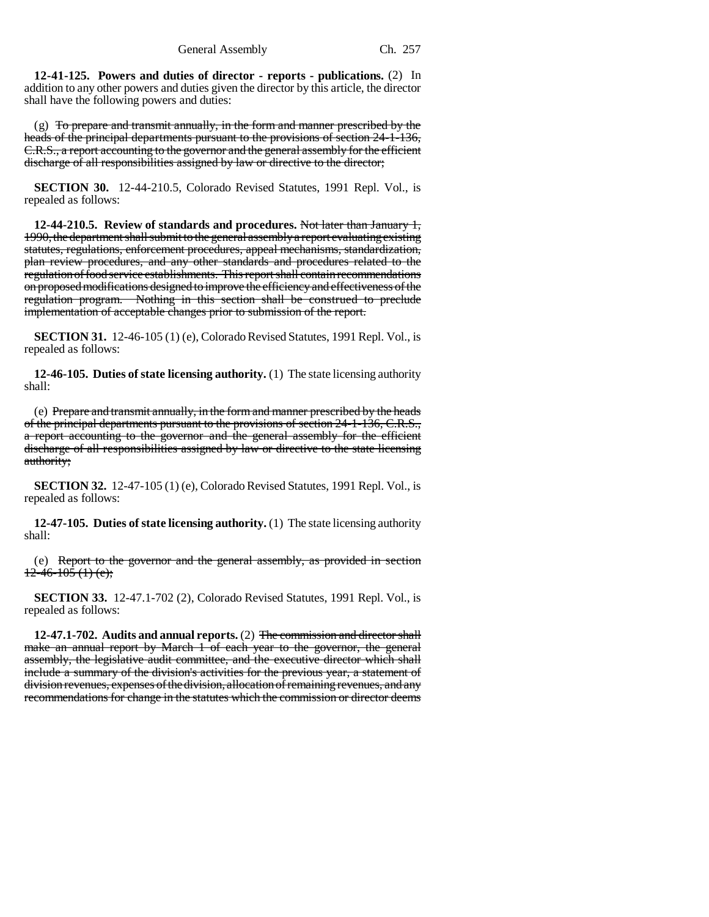**12-41-125. Powers and duties of director - reports - publications.** (2) In addition to any other powers and duties given the director by this article, the director shall have the following powers and duties:

(g) To prepare and transmit annually, in the form and manner prescribed by the heads of the principal departments pursuant to the provisions of section 24-1-136, C.R.S., a report accounting to the governor and the general assembly for the efficient discharge of all responsibilities assigned by law or directive to the director;

**SECTION 30.** 12-44-210.5, Colorado Revised Statutes, 1991 Repl. Vol., is repealed as follows:

**12-44-210.5. Review of standards and procedures.** Not later than January 1, 1990, the department shall submit to the general assembly a report evaluating existing statutes, regulations, enforcement procedures, appeal mechanisms, standardization, plan review procedures, and any other standards and procedures related to the regulation of food service establishments. This report shall contain recommendations on proposed modifications designed to improve the efficiency and effectiveness of the regulation program. Nothing in this section shall be construed to preclude implementation of acceptable changes prior to submission of the report.

**SECTION 31.** 12-46-105 (1) (e), Colorado Revised Statutes, 1991 Repl. Vol., is repealed as follows:

**12-46-105. Duties of state licensing authority.** (1) The state licensing authority shall:

(e) Prepare and transmit annually, in the form and manner prescribed by the heads of the principal departments pursuant to the provisions of section 24-1-136, C.R.S., a report accounting to the governor and the general assembly for the efficient discharge of all responsibilities assigned by law or directive to the state licensing authority;

**SECTION 32.** 12-47-105 (1) (e), Colorado Revised Statutes, 1991 Repl. Vol., is repealed as follows:

**12-47-105. Duties of state licensing authority.** (1) The state licensing authority shall:

(e) Report to the governor and the general assembly, as provided in section  $12-46-105(1)$  (e);

**SECTION 33.** 12-47.1-702 (2), Colorado Revised Statutes, 1991 Repl. Vol., is repealed as follows:

**12-47.1-702. Audits and annual reports.** (2) The commission and director shall make an annual report by March 1 of each year to the governor, the general assembly, the legislative audit committee, and the executive director which shall include a summary of the division's activities for the previous year, a statement of division revenues, expenses of the division, allocation of remaining revenues, and any recommendations for change in the statutes which the commission or director deems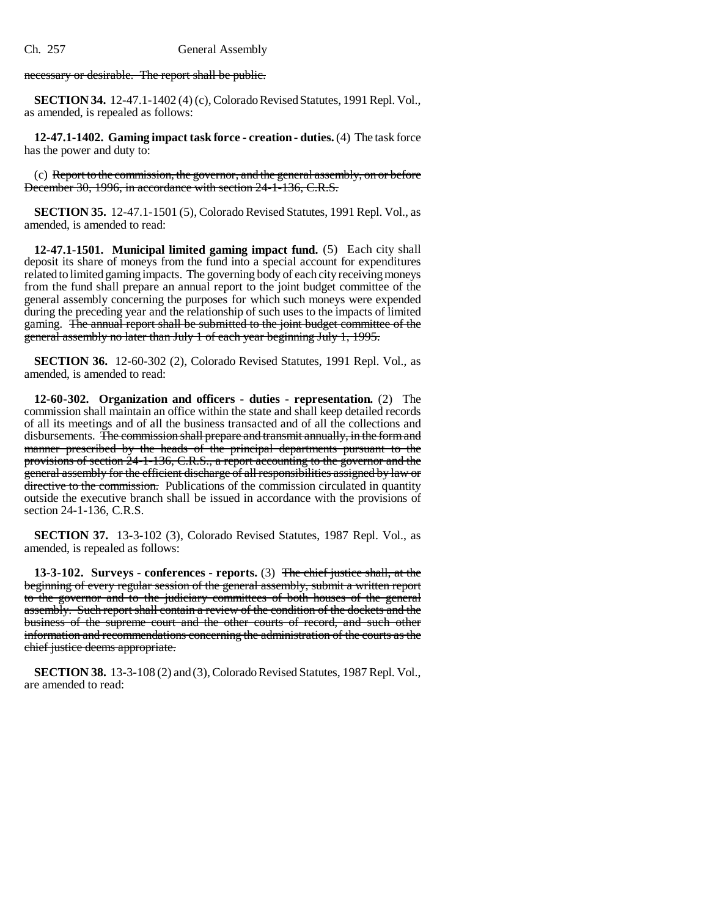necessary or desirable. The report shall be public.

**SECTION 34.** 12-47.1-1402 (4) (c), Colorado Revised Statutes, 1991 Repl. Vol., as amended, is repealed as follows:

**12-47.1-1402. Gaming impact task force - creation - duties.** (4) The task force has the power and duty to:

(c) Report to the commission, the governor, and the general assembly, on or before December 30, 1996, in accordance with section 24-1-136, C.R.S.

**SECTION 35.** 12-47.1-1501 (5), Colorado Revised Statutes, 1991 Repl. Vol., as amended, is amended to read:

**12-47.1-1501. Municipal limited gaming impact fund.** (5) Each city shall deposit its share of moneys from the fund into a special account for expenditures related to limited gaming impacts. The governing body of each city receiving moneys from the fund shall prepare an annual report to the joint budget committee of the general assembly concerning the purposes for which such moneys were expended during the preceding year and the relationship of such uses to the impacts of limited gaming. The annual report shall be submitted to the joint budget committee of the general assembly no later than July 1 of each year beginning July 1, 1995.

**SECTION 36.** 12-60-302 (2), Colorado Revised Statutes, 1991 Repl. Vol., as amended, is amended to read:

**12-60-302. Organization and officers - duties - representation.** (2) The commission shall maintain an office within the state and shall keep detailed records of all its meetings and of all the business transacted and of all the collections and disbursements. The commission shall prepare and transmit annually, in the form and manner prescribed by the heads of the principal departments pursuant to the provisions of section 24-1-136, C.R.S., a report accounting to the governor and the general assembly for the efficient discharge of all responsibilities assigned by law or directive to the commission. Publications of the commission circulated in quantity outside the executive branch shall be issued in accordance with the provisions of section 24-1-136, C.R.S.

**SECTION 37.** 13-3-102 (3), Colorado Revised Statutes, 1987 Repl. Vol., as amended, is repealed as follows:

**13-3-102. Surveys - conferences - reports.** (3) The chief justice shall, at the beginning of every regular session of the general assembly, submit a written report to the governor and to the judiciary committees of both houses of the general assembly. Such report shall contain a review of the condition of the dockets and the business of the supreme court and the other courts of record, and such other information and recommendations concerning the administration of the courts as the chief justice deems appropriate.

**SECTION 38.** 13-3-108 (2) and (3), Colorado Revised Statutes, 1987 Repl. Vol., are amended to read: